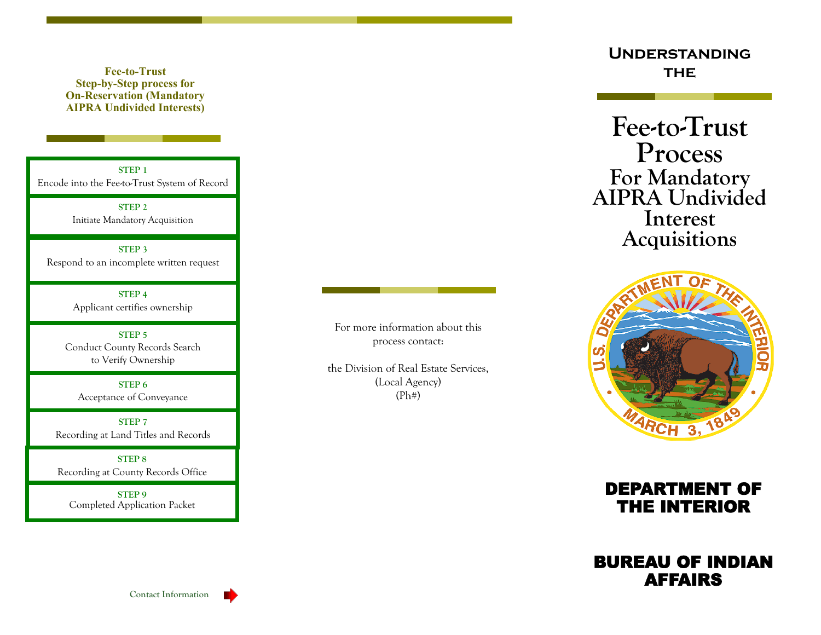**Fee-to-Trust Step-by-Step process for On-Reservation (Mandatory AIPRA Undivided Interests)**

**STEP 1** Encode into the Fee-to-Trust System of Record

> **STEP 2** Initiate Mandatory Acquisition

**STEP 3** Respond to an incomplete written request

> **STEP 4** Applicant certifies ownership

**STEP 5** Conduct County Records Search to Verify Ownership

**STEP 6** Acceptance of Conveyance

**STEP 7** Recording at Land Titles and Records

**STEP 8** Recording at County Records Office

**STEP 9** Completed Application Packet For more information about this process contact:

the Division of Real Estate Services, (Local Agency) (Ph#)

**Understanding THE** 

**Fee-to-Trust Process For Mandatory AIPRA Undivided Interest Acquisitions**





## BUREAU OF INDIAN AFFAIRS